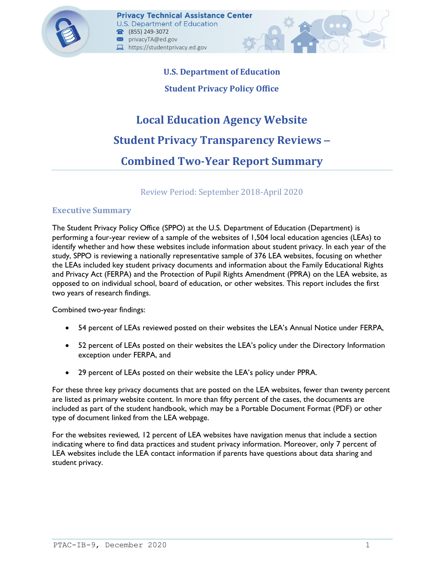

# **U.S. Department of Education Student Privacy Policy Office**

# **Local Education Agency Website Student Privacy Transparency Reviews** – **Combined Two-Year Report Summary**

# Review Period: September 2018-April 2020

# **Executive Summary**

The Student Privacy Policy Office (SPPO) at the U.S. Department of Education (Department) is performing a four-year review of a sample of the websites of 1,504 local education agencies (LEAs) to identify whether and how these websites include information about student privacy. In each year of the study, SPPO is reviewing a nationally representative sample of 376 LEA websites, focusing on whether the LEAs included key student privacy documents and information about the Family Educational Rights and Privacy Act (FERPA) and the Protection of Pupil Rights Amendment (PPRA) on the LEA website, as opposed to on individual school, board of education, or other websites. This report includes the first two years of research findings.

Combined two-year findings:

- 54 percent of LEAs reviewed posted on their websites the LEA's Annual Notice under FERPA,
- 52 percent of LEAs posted on their websites the LEA's policy under the Directory Information exception under FERPA, and
- 29 percent of LEAs posted on their website the LEA's policy under PPRA.

For these three key privacy documents that are posted on the LEA websites, fewer than twenty percent are listed as primary website content. In more than fifty percent of the cases, the documents are included as part of the student handbook, which may be a Portable Document Format (PDF) or other type of document linked from the LEA webpage.

For the websites reviewed, 12 percent of LEA websites have navigation menus that include a section indicating where to find data practices and student privacy information. Moreover, only 7 percent of LEA websites include the LEA contact information if parents have questions about data sharing and student privacy.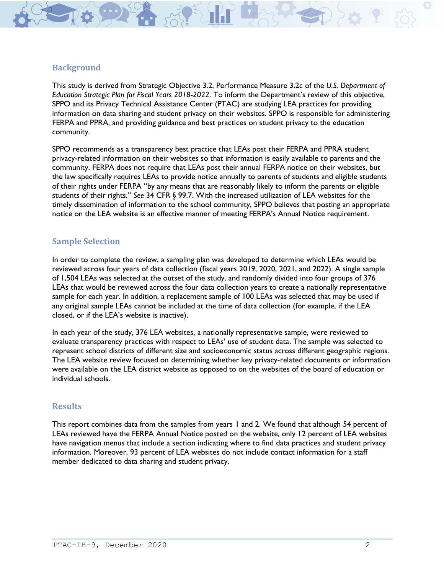

This study is derived from Strategic Objective 3.2, Performance Measure 3.2c of the *U.S. Department of Education Strategic Plan for Fiscal Years 2018-2022*. To inform the Department's review of this objective, SPPO and its Privacy Technical Assistance Center (PTAC) are studying LEA practices for providing information on data sharing and student privacy on their websites. SPPO is responsible for administering FERPA and PPRA, and providing guidance and best practices on student privacy to the education community.

SPPO recommends as a transparency best practice that LEAs post their FERPA and PPRA student privacy-related information on their websites so that information is easily available to parents and the community. FERPA does not require that LEAs post their annual FERPA notice on their websites, but the law specifically requires LEAs to provide notice annually to parents of students and eligible students of their rights under FERPA "by any means that are reasonably likely to inform the parents or eligible students of their rights." *See* 34 CFR § 99.7. With the increased utilization of LEA websites for the timely dissemination of information to the school community, SPPO believes that posting an appropriate notice on the LEA website is an effective manner of meeting FERPA's Annual Notice requirement.

#### **Sample Selection**

In order to complete the review, a sampling plan was developed to determine which LEAs would be reviewed across four years of data collection (fiscal years 2019, 2020, 2021, and 2022). A single sample of 1,504 LEAs was selected at the outset of the study, and randomly divided into four groups of 376 LEAs that would be reviewed across the four data collection years to create a nationally representative sample for each year. In addition, a replacement sample of 100 LEAs was selected that may be used if any original sample LEAs cannot be included at the time of data collection (for example, if the LEA closed, or if the LEA's website is inactive).

In each year of the study, 376 LEA websites, a nationally representative sample, were reviewed to evaluate transparency practices with respect to LEAs' use of student data. The sample was selected to represent school districts of different size and socioeconomic status across different geographic regions. The LEA website review focused on determining whether key privacy-related documents or information were available on the LEA district website as opposed to on the websites of the board of education or individual schools.

#### **Results**

This report combines data from the samples from years 1 and 2. We found that although 54 percent of LEAs reviewed have the FERPA Annual Notice posted on the website, only 12 percent of LEA websites have navigation menus that include a section indicating where to find data practices and student privacy information. Moreover, 93 percent of LEA websites do not include contact information for a staff member dedicated to data sharing and student privacy.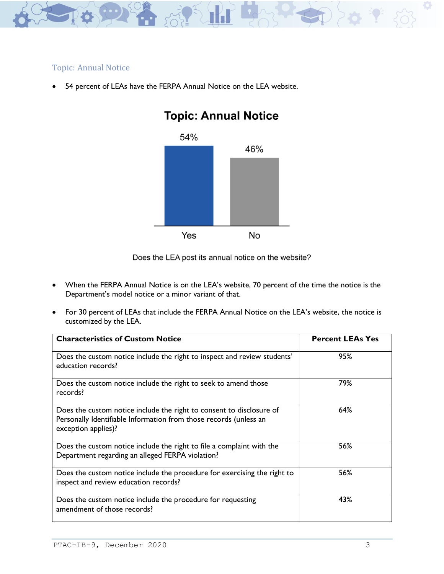

### Topic: Annual Notice

54 percent of LEAs have the FERPA Annual Notice on the LEA website.



# **Topic: Annual Notice**

- When the FERPA Annual Notice is on the LEA's website, 70 percent of the time the notice is the Department's model notice or a minor variant of that.
- For 30 percent of LEAs that include the FERPA Annual Notice on the LEA's website, the notice is customized by the LEA.

| <b>Characteristics of Custom Notice</b>                                                                                                                          | <b>Percent LEAs Yes</b> |
|------------------------------------------------------------------------------------------------------------------------------------------------------------------|-------------------------|
| Does the custom notice include the right to inspect and review students'<br>education records?                                                                   | 95%                     |
| Does the custom notice include the right to seek to amend those<br>records?                                                                                      | 79%                     |
| Does the custom notice include the right to consent to disclosure of<br>Personally Identifiable Information from those records (unless an<br>exception applies)? | 64%                     |
| Does the custom notice include the right to file a complaint with the<br>Department regarding an alleged FERPA violation?                                        | 56%                     |
| Does the custom notice include the procedure for exercising the right to<br>inspect and review education records?                                                | 56%                     |
| Does the custom notice include the procedure for requesting<br>amendment of those records?                                                                       | 43%                     |

Does the LEA post its annual notice on the website?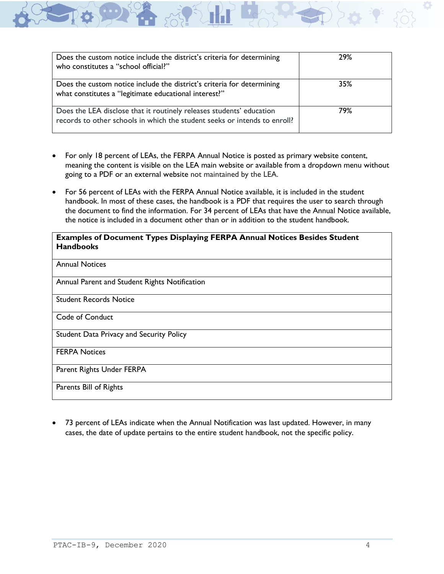| Does the custom notice include the district's criteria for determining<br>who constitutes a "school official?"                                    | 29% |
|---------------------------------------------------------------------------------------------------------------------------------------------------|-----|
| Does the custom notice include the district's criteria for determining<br>what constitutes a "legitimate educational interest?"                   | 35% |
| Does the LEA disclose that it routinely releases students' education<br>records to other schools in which the student seeks or intends to enroll? | 79% |

- For only 18 percent of LEAs, the FERPA Annual Notice is posted as primary website content, meaning the content is visible on the LEA main website or available from a dropdown menu without going to a PDF or an external website not maintained by the LEA.
- For 56 percent of LEAs with the FERPA Annual Notice available, it is included in the student handbook. In most of these cases, the handbook is a PDF that requires the user to search through the document to find the information. For 34 percent of LEAs that have the Annual Notice available, the notice is included in a document other than or in addition to the student handbook.

#### **Examples of Document Types Displaying FERPA Annual Notices Besides Student Handbooks**

| <b>Annual Notices</b>                         |
|-----------------------------------------------|
| Annual Parent and Student Rights Notification |
| <b>Student Records Notice</b>                 |
| Code of Conduct                               |
| Student Data Privacy and Security Policy      |
| <b>FERPA Notices</b>                          |
| Parent Rights Under FERPA                     |
| Parents Bill of Rights                        |

• 73 percent of LEAs indicate when the Annual Notification was last updated. However, in many cases, the date of update pertains to the entire student handbook, not the specific policy.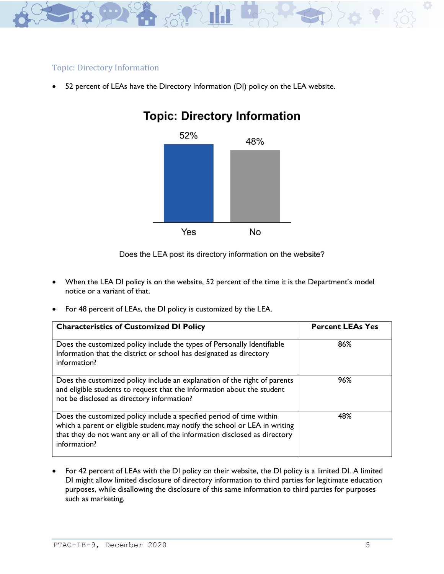

# Topic: Directory Information

• 52 percent of LEAs have the Directory Information (DI) policy on the LEA website.



# **Topic: Directory Information**

Does the LEA post its directory information on the website?

- When the LEA DI policy is on the website, 52 percent of the time it is the Department's model notice or a variant of that.
- For 48 percent of LEAs, the DI policy is customized by the LEA.

| <b>Characteristics of Customized DI Policy</b>                                                                                                                                                                                                   | <b>Percent LEAs Yes</b> |
|--------------------------------------------------------------------------------------------------------------------------------------------------------------------------------------------------------------------------------------------------|-------------------------|
| Does the customized policy include the types of Personally Identifiable<br>Information that the district or school has designated as directory<br>information?                                                                                   | 86%                     |
| Does the customized policy include an explanation of the right of parents<br>and eligible students to request that the information about the student<br>not be disclosed as directory information?                                               | 96%                     |
| Does the customized policy include a specified period of time within<br>which a parent or eligible student may notify the school or LEA in writing<br>that they do not want any or all of the information disclosed as directory<br>information? | 48%                     |

• For 42 percent of LEAs with the DI policy on their website, the DI policy is a limited DI. A limited DI might allow limited disclosure of directory information to third parties for legitimate education purposes, while disallowing the disclosure of this same information to third parties for purposes such as marketing.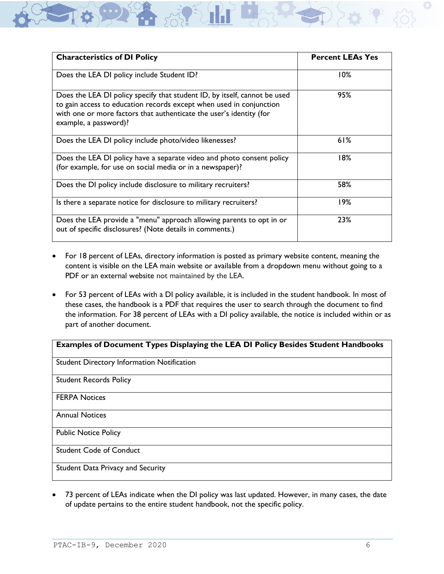| <b>Characteristics of DI Policy</b>                                                                                                                                                                                                              | <b>Percent LEAs Yes</b> |
|--------------------------------------------------------------------------------------------------------------------------------------------------------------------------------------------------------------------------------------------------|-------------------------|
| Does the LEA DI policy include Student ID?                                                                                                                                                                                                       | 10%                     |
| Does the LEA DI policy specify that student ID, by itself, cannot be used<br>to gain access to education records except when used in conjunction<br>with one or more factors that authenticate the user's identity (for<br>example, a password)? | 95%                     |
| Does the LEA DI policy include photo/video likenesses?                                                                                                                                                                                           | 61%                     |
| Does the LEA DI policy have a separate video and photo consent policy<br>(for example, for use on social media or in a newspaper)?                                                                                                               | 18%                     |
| Does the DI policy include disclosure to military recruiters?                                                                                                                                                                                    | 58%                     |
| Is there a separate notice for disclosure to military recruiters?                                                                                                                                                                                | 19%                     |
| Does the LEA provide a "menu" approach allowing parents to opt in or<br>out of specific disclosures? (Note details in comments.)                                                                                                                 | 23%                     |

- For 18 percent of LEAs, directory information is posted as primary website content, meaning the content is visible on the LEA main website or available from a dropdown menu without going to a PDF or an external website not maintained by the LEA.
- For 53 percent of LEAs with a DI policy available, it is included in the student handbook. In most of these cases, the handbook is a PDF that requires the user to search through the document to find the information. For 38 percent of LEAs with a DI policy available, the notice is included within or as part of another document.

#### **Examples of Document Types Displaying the LEA DI Policy Besides Student Handbooks**

Student Directory Information Notification

Student Records Policy

FERPA Notices

Annual Notices

Public Notice Policy

Student Code of Conduct

Student Data Privacy and Security

• 73 percent of LEAs indicate when the DI policy was last updated. However, in many cases, the date of update pertains to the entire student handbook, not the specific policy.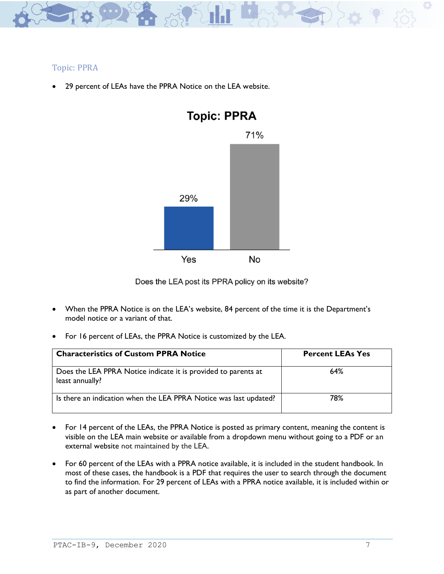

# Topic: PPRA

29 percent of LEAs have the PPRA Notice on the LEA website.



Does the LEA post its PPRA policy on its website?

- When the PPRA Notice is on the LEA's website, 84 percent of the time it is the Department's model notice or a variant of that.
- For 16 percent of LEAs, the PPRA Notice is customized by the LEA.

| <b>Characteristics of Custom PPRA Notice</b>                                      | <b>Percent LEAs Yes</b> |
|-----------------------------------------------------------------------------------|-------------------------|
| Does the LEA PPRA Notice indicate it is provided to parents at<br>least annually? | 64%                     |
| Is there an indication when the LEA PPRA Notice was last updated?                 | 78%                     |

- For 14 percent of the LEAs, the PPRA Notice is posted as primary content, meaning the content is visible on the LEA main website or available from a dropdown menu without going to a PDF or an external website not maintained by the LEA.
- For 60 percent of the LEAs with a PPRA notice available, it is included in the student handbook. In most of these cases, the handbook is a PDF that requires the user to search through the document to find the information. For 29 percent of LEAs with a PPRA notice available, it is included within or as part of another document.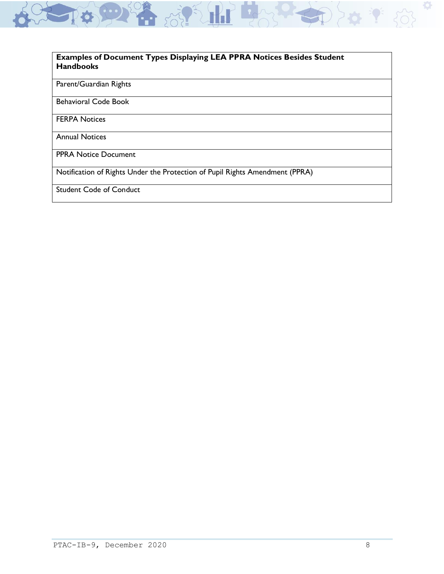#### **Examples of Document Types Displaying LEA PPRA Notices Besides Student Handbooks**

62 第 第 日

#### Parent/Guardian Rights

Behavioral Code Book

FERPA Notices

Annual Notices

PPRA Notice Document

Notification of Rights Under the Protection of Pupil Rights Amendment (PPRA)

Student Code of Conduct

 $\mathbf Q$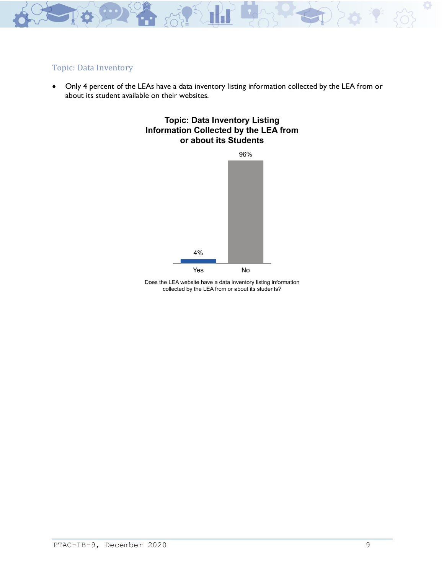

### Topic: Data Inventory

• Only 4 percent of the LEAs have a data inventory listing information collected by the LEA from or about its student available on their websites.





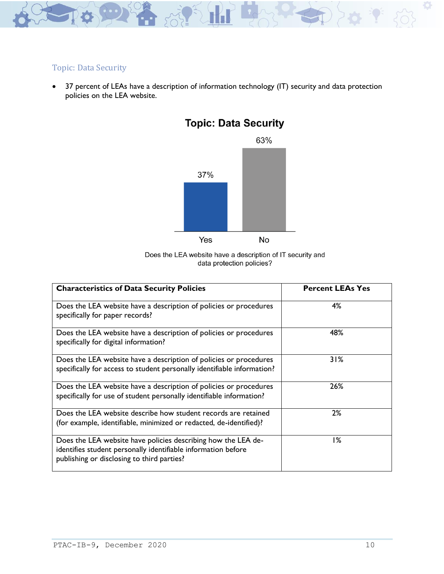

# Topic: Data Security

• 37 percent of LEAs have a description of information technology (IT) security and data protection policies on the LEA website.



# **Topic: Data Security**

Does the LEA website have a description of IT security and data protection policies?

| <b>Characteristics of Data Security Policies</b>                                                                                                                             | <b>Percent LEAs Yes</b> |
|------------------------------------------------------------------------------------------------------------------------------------------------------------------------------|-------------------------|
| Does the LEA website have a description of policies or procedures<br>specifically for paper records?                                                                         | 4%                      |
| Does the LEA website have a description of policies or procedures<br>specifically for digital information?                                                                   | 48%                     |
| Does the LEA website have a description of policies or procedures<br>specifically for access to student personally identifiable information?                                 | 31%                     |
| Does the LEA website have a description of policies or procedures<br>specifically for use of student personally identifiable information?                                    | 26%                     |
| Does the LEA website describe how student records are retained<br>(for example, identifiable, minimized or redacted, de-identified)?                                         | 2%                      |
| Does the LEA website have policies describing how the LEA de-<br>identifies student personally identifiable information before<br>publishing or disclosing to third parties? | 1%                      |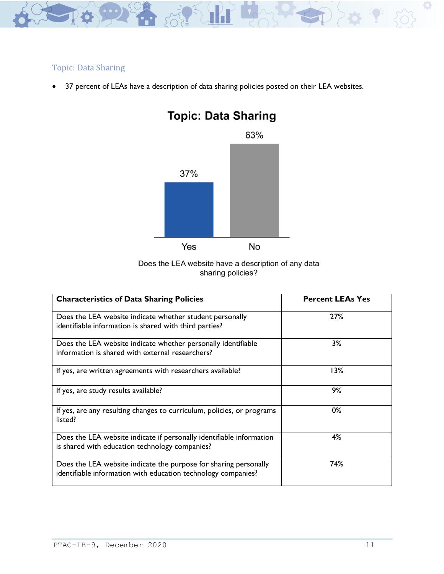

# Topic: Data Sharing

• 37 percent of LEAs have a description of data sharing policies posted on their LEA websites.



# **Topic: Data Sharing**



| <b>Characteristics of Data Sharing Policies</b>                                                                                   | <b>Percent LEAs Yes</b> |
|-----------------------------------------------------------------------------------------------------------------------------------|-------------------------|
| Does the LEA website indicate whether student personally<br>identifiable information is shared with third parties?                | 27%                     |
| Does the LEA website indicate whether personally identifiable<br>information is shared with external researchers?                 | 3%                      |
| If yes, are written agreements with researchers available?                                                                        | 13%                     |
| If yes, are study results available?                                                                                              | 9%                      |
| If yes, are any resulting changes to curriculum, policies, or programs<br>listed?                                                 | 0%                      |
| Does the LEA website indicate if personally identifiable information<br>is shared with education technology companies?            | 4%                      |
| Does the LEA website indicate the purpose for sharing personally<br>identifiable information with education technology companies? | 74%                     |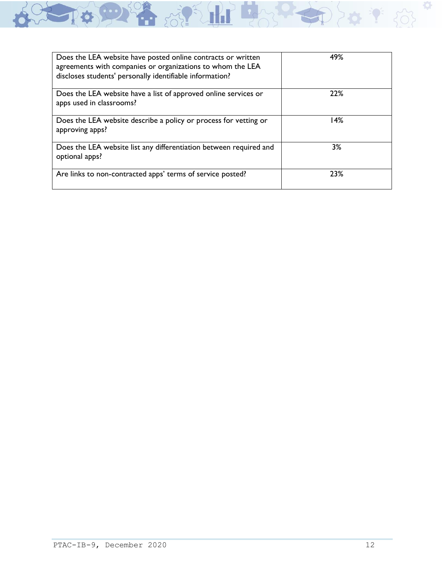| Does the LEA website have posted online contracts or written<br>agreements with companies or organizations to whom the LEA<br>discloses students' personally identifiable information? | 49% |
|----------------------------------------------------------------------------------------------------------------------------------------------------------------------------------------|-----|
| Does the LEA website have a list of approved online services or<br>apps used in classrooms?                                                                                            | 22% |
| Does the LEA website describe a policy or process for vetting or<br>approving apps?                                                                                                    | 14% |
| Does the LEA website list any differentiation between required and<br>optional apps?                                                                                                   | 3%  |
| Are links to non-contracted apps' terms of service posted?                                                                                                                             | 23% |

BOOK LE BAR

o Co

 $4.58$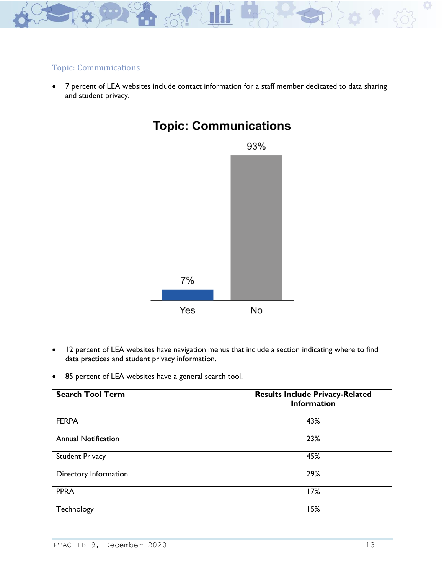

### Topic: Communications

• 7 percent of LEA websites include contact information for a staff member dedicated to data sharing and student privacy.



# **Topic: Communications**

- 12 percent of LEA websites have navigation menus that include a section indicating where to find data practices and student privacy information.
- 85 percent of LEA websites have a general search tool.

| <b>Search Tool Term</b>    | <b>Results Include Privacy-Related</b><br><b>Information</b> |
|----------------------------|--------------------------------------------------------------|
| <b>FERPA</b>               | 43%                                                          |
| <b>Annual Notification</b> | 23%                                                          |
| <b>Student Privacy</b>     | 45%                                                          |
| Directory Information      | 29%                                                          |
| <b>PPRA</b>                | 17%                                                          |
| Technology                 | 15%                                                          |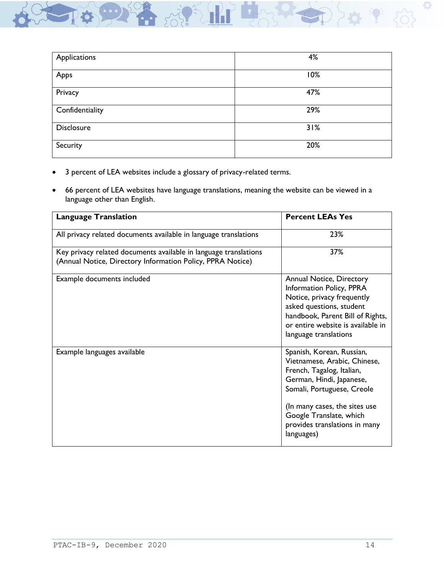| Applications    | 4%  |
|-----------------|-----|
| Apps            | 10% |
| Privacy         | 47% |
| Confidentiality | 29% |
| Disclosure      | 31% |
| Security        | 20% |

- 3 percent of LEA websites include a glossary of privacy-related terms.
- 66 percent of LEA websites have language translations, meaning the website can be viewed in a language other than English.

| <b>Language Translation</b>                                                                                                    | <b>Percent LEAs Yes</b>                                                                                                                                                                                                                                     |
|--------------------------------------------------------------------------------------------------------------------------------|-------------------------------------------------------------------------------------------------------------------------------------------------------------------------------------------------------------------------------------------------------------|
| All privacy related documents available in language translations                                                               | 23%                                                                                                                                                                                                                                                         |
| Key privacy related documents available in language translations<br>(Annual Notice, Directory Information Policy, PPRA Notice) | 37%                                                                                                                                                                                                                                                         |
| Example documents included                                                                                                     | Annual Notice, Directory<br>Information Policy, PPRA<br>Notice, privacy frequently<br>asked questions, student<br>handbook, Parent Bill of Rights,<br>or entire website is available in<br>language translations                                            |
| Example languages available                                                                                                    | Spanish, Korean, Russian,<br>Vietnamese, Arabic, Chinese,<br>French, Tagalog, Italian,<br>German, Hindi, Japanese,<br>Somali, Portuguese, Creole<br>(In many cases, the sites use<br>Google Translate, which<br>provides translations in many<br>languages) |

Ö.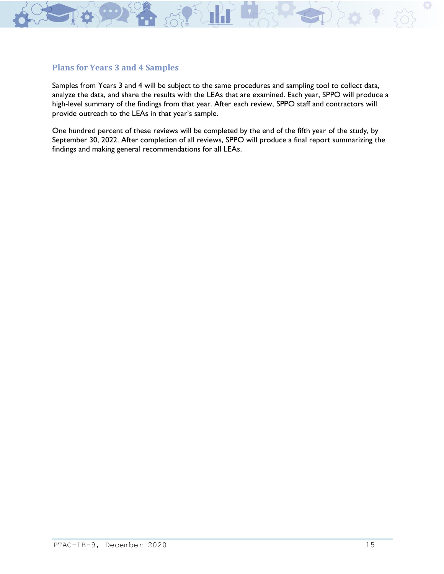

### **Plans for Years 3 and 4 Samples**

Samples from Years 3 and 4 will be subject to the same procedures and sampling tool to collect data, analyze the data, and share the results with the LEAs that are examined. Each year, SPPO will produce a high-level summary of the findings from that year. After each review, SPPO staff and contractors will provide outreach to the LEAs in that year's sample.

One hundred percent of these reviews will be completed by the end of the fifth year of the study, by September 30, 2022. After completion of all reviews, SPPO will produce a final report summarizing the findings and making general recommendations for all LEAs.